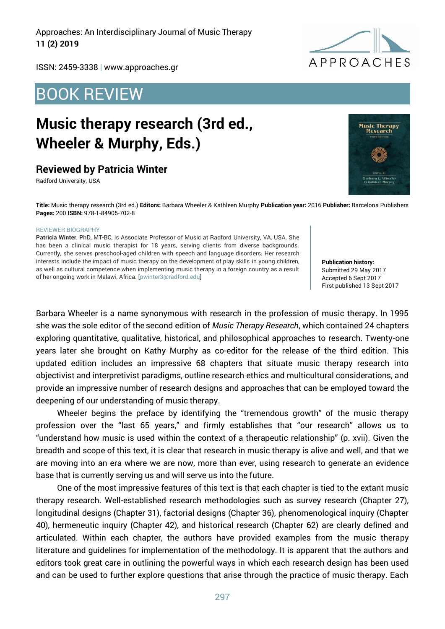Approaches: An Interdisciplinary Journal of Music Therapy **11 (2) 2019**



ISSN: 2459-3338 | www.approaches.gr

## BOOK REVIEW

# **Music therapy research (3rd ed., Wheeler & Murphy, Eds.)**

#### **Reviewed by Patricia Winter**

Radford University, USA

**Music Therapy** Research

**Title:** Music therapy research (3rd ed.) **Editors:** Barbara Wheeler & Kathleen Murphy **Publication year:** 2016 **Publisher:** Barcelona Publishers **Pages:** 200 **ISBN:** 978-1-84905-702-8

#### REVIEWER BIOGRAPHY

**Patricia Winter**, PhD, MT-BC, is Associate Professor of Music at Radford University, VA, USA. She has been a clinical music therapist for 18 years, serving clients from diverse backgrounds. Currently, she serves preschool-aged children with speech and language disorders. Her research interests include the impact of music therapy on the development of play skills in young children, as well as cultural competence when implementing music therapy in a foreign country as a result of her ongoing work in Malawi, Africa. [pwinter3@radford.edu]

**Publication history:**  Submitted 29 May 2017 Accepted 6 Sept 2017 First published 13 Sept 2017

Barbara Wheeler is a name synonymous with research in the profession of music therapy. In 1995 she was the sole editor of the second edition of *Music Therapy Research*, which contained 24 chapters exploring quantitative, qualitative, historical, and philosophical approaches to research. Twenty-one years later she brought on Kathy Murphy as co-editor for the release of the third edition. This updated edition includes an impressive 68 chapters that situate music therapy research into objectivist and interpretivist paradigms, outline research ethics and multicultural considerations, and provide an impressive number of research designs and approaches that can be employed toward the deepening of our understanding of music therapy.

Wheeler begins the preface by identifying the "tremendous growth" of the music therapy profession over the "last 65 years," and firmly establishes that "our research" allows us to "understand how music is used within the context of a therapeutic relationship" (p. xvii). Given the breadth and scope of this text, it is clear that research in music therapy is alive and well, and that we are moving into an era where we are now, more than ever, using research to generate an evidence base that is currently serving us and will serve us into the future.

One of the most impressive features of this text is that each chapter is tied to the extant music therapy research. Well-established research methodologies such as survey research (Chapter 27), longitudinal designs (Chapter 31), factorial designs (Chapter 36), phenomenological inquiry (Chapter 40), hermeneutic inquiry (Chapter 42), and historical research (Chapter 62) are clearly defined and articulated. Within each chapter, the authors have provided examples from the music therapy literature and guidelines for implementation of the methodology. It is apparent that the authors and editors took great care in outlining the powerful ways in which each research design has been used and can be used to further explore questions that arise through the practice of music therapy. Each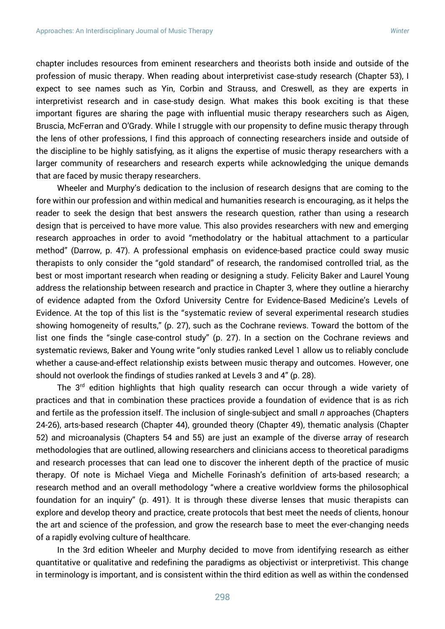chapter includes resources from eminent researchers and theorists both inside and outside of the profession of music therapy. When reading about interpretivist case-study research (Chapter 53), I expect to see names such as Yin, Corbin and Strauss, and Creswell, as they are experts in interpretivist research and in case-study design. What makes this book exciting is that these important figures are sharing the page with influential music therapy researchers such as Aigen, Bruscia, McFerran and O'Grady. While I struggle with our propensity to define music therapy through the lens of other professions, I find this approach of connecting researchers inside and outside of the discipline to be highly satisfying, as it aligns the expertise of music therapy researchers with a larger community of researchers and research experts while acknowledging the unique demands that are faced by music therapy researchers.

Wheeler and Murphy's dedication to the inclusion of research designs that are coming to the fore within our profession and within medical and humanities research is encouraging, as it helps the reader to seek the design that best answers the research question, rather than using a research design that is perceived to have more value. This also provides researchers with new and emerging research approaches in order to avoid "methodolatry or the habitual attachment to a particular method" (Darrow, p. 47). A professional emphasis on evidence-based practice could sway music therapists to only consider the "gold standard" of research, the randomised controlled trial, as the best or most important research when reading or designing a study. Felicity Baker and Laurel Young address the relationship between research and practice in Chapter 3, where they outline a hierarchy of evidence adapted from the Oxford University Centre for Evidence-Based Medicine's Levels of Evidence. At the top of this list is the "systematic review of several experimental research studies showing homogeneity of results," (p. 27), such as the Cochrane reviews. Toward the bottom of the list one finds the "single case-control study" (p. 27). In a section on the Cochrane reviews and systematic reviews, Baker and Young write "only studies ranked Level 1 allow us to reliably conclude whether a cause-and-effect relationship exists between music therapy and outcomes. However, one should not overlook the findings of studies ranked at Levels 3 and 4" (p. 28).

The 3<sup>rd</sup> edition highlights that high quality research can occur through a wide variety of practices and that in combination these practices provide a foundation of evidence that is as rich and fertile as the profession itself. The inclusion of single-subject and small *n* approaches (Chapters 24-26), arts-based research (Chapter 44), grounded theory (Chapter 49), thematic analysis (Chapter 52) and microanalysis (Chapters 54 and 55) are just an example of the diverse array of research methodologies that are outlined, allowing researchers and clinicians access to theoretical paradigms and research processes that can lead one to discover the inherent depth of the practice of music therapy. Of note is Michael Viega and Michelle Forinash's definition of arts-based research; a research method and an overall methodology "where a creative worldview forms the philosophical foundation for an inquiry" (p. 491). It is through these diverse lenses that music therapists can explore and develop theory and practice, create protocols that best meet the needs of clients, honour the art and science of the profession, and grow the research base to meet the ever-changing needs of a rapidly evolving culture of healthcare.

In the 3rd edition Wheeler and Murphy decided to move from identifying research as either quantitative or qualitative and redefining the paradigms as objectivist or interpretivist. This change in terminology is important, and is consistent within the third edition as well as within the condensed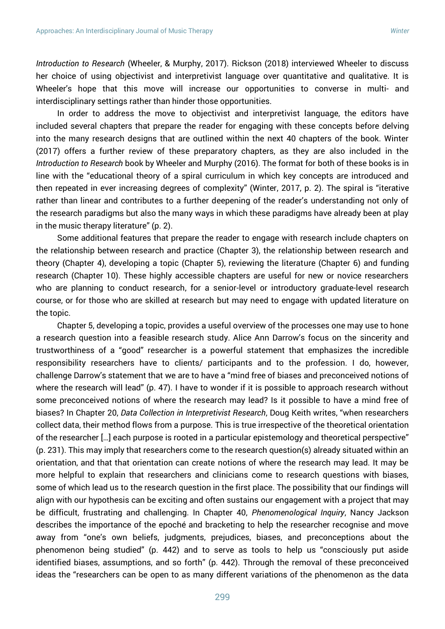*Introduction to Research* (Wheeler, & Murphy, 2017). Rickson (2018) interviewed Wheeler to discuss her choice of using objectivist and interpretivist language over quantitative and qualitative. It is Wheeler's hope that this move will increase our opportunities to converse in multi- and interdisciplinary settings rather than hinder those opportunities.

In order to address the move to objectivist and interpretivist language, the editors have included several chapters that prepare the reader for engaging with these concepts before delving into the many research designs that are outlined within the next 40 chapters of the book. Winter (2017) offers a further review of these preparatory chapters, as they are also included in the *Introduction to Research* book by Wheeler and Murphy (2016). The format for both of these books is in line with the "educational theory of a spiral curriculum in which key concepts are introduced and then repeated in ever increasing degrees of complexity" (Winter, 2017, p. 2). The spiral is "iterative rather than linear and contributes to a further deepening of the reader's understanding not only of the research paradigms but also the many ways in which these paradigms have already been at play in the music therapy literature" (p. 2).

Some additional features that prepare the reader to engage with research include chapters on the relationship between research and practice (Chapter 3), the relationship between research and theory (Chapter 4), developing a topic (Chapter 5), reviewing the literature (Chapter 6) and funding research (Chapter 10). These highly accessible chapters are useful for new or novice researchers who are planning to conduct research, for a senior-level or introductory graduate-level research course, or for those who are skilled at research but may need to engage with updated literature on the topic.

Chapter 5, developing a topic, provides a useful overview of the processes one may use to hone a research question into a feasible research study. Alice Ann Darrow's focus on the sincerity and trustworthiness of a "good" researcher is a powerful statement that emphasizes the incredible responsibility researchers have to clients/ participants and to the profession. I do, however, challenge Darrow's statement that we are to have a "mind free of biases and preconceived notions of where the research will lead" (p. 47). I have to wonder if it is possible to approach research without some preconceived notions of where the research may lead? Is it possible to have a mind free of biases? In Chapter 20, *Data Collection in Interpretivist Research*, Doug Keith writes, "when researchers collect data, their method flows from a purpose. This is true irrespective of the theoretical orientation of the researcher […] each purpose is rooted in a particular epistemology and theoretical perspective" (p. 231). This may imply that researchers come to the research question(s) already situated within an orientation, and that that orientation can create notions of where the research may lead. It may be more helpful to explain that researchers and clinicians come to research questions with biases, some of which lead us to the research question in the first place. The possibility that our findings will align with our hypothesis can be exciting and often sustains our engagement with a project that may be difficult, frustrating and challenging. In Chapter 40, *Phenomenological Inquiry*, Nancy Jackson describes the importance of the epoché and bracketing to help the researcher recognise and move away from "one's own beliefs, judgments, prejudices, biases, and preconceptions about the phenomenon being studied" (p. 442) and to serve as tools to help us "consciously put aside identified biases, assumptions, and so forth" (p. 442). Through the removal of these preconceived ideas the "researchers can be open to as many different variations of the phenomenon as the data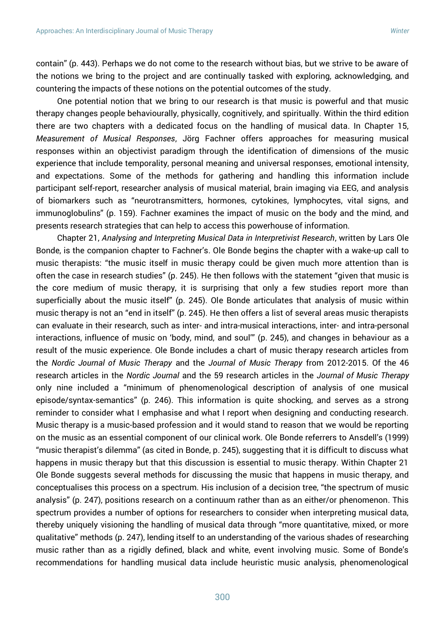contain" (p. 443). Perhaps we do not come to the research without bias, but we strive to be aware of the notions we bring to the project and are continually tasked with exploring, acknowledging, and countering the impacts of these notions on the potential outcomes of the study.

One potential notion that we bring to our research is that music is powerful and that music therapy changes people behaviourally, physically, cognitively, and spiritually. Within the third edition there are two chapters with a dedicated focus on the handling of musical data. In Chapter 15, *Measurement of Musical Responses*, Jörg Fachner offers approaches for measuring musical responses within an objectivist paradigm through the identification of dimensions of the music experience that include temporality, personal meaning and universal responses, emotional intensity, and expectations. Some of the methods for gathering and handling this information include participant self-report, researcher analysis of musical material, brain imaging via EEG, and analysis of biomarkers such as "neurotransmitters, hormones, cytokines, lymphocytes, vital signs, and immunoglobulins" (p. 159). Fachner examines the impact of music on the body and the mind, and presents research strategies that can help to access this powerhouse of information.

Chapter 21, *Analysing and Interpreting Musical Data in Interpretivist Research*, written by Lars Ole Bonde, is the companion chapter to Fachner's. Ole Bonde begins the chapter with a wake-up call to music therapists: "the music itself in music therapy could be given much more attention than is often the case in research studies" (p. 245). He then follows with the statement "given that music is the core medium of music therapy, it is surprising that only a few studies report more than superficially about the music itself" (p. 245). Ole Bonde articulates that analysis of music within music therapy is not an "end in itself" (p. 245). He then offers a list of several areas music therapists can evaluate in their research, such as inter- and intra-musical interactions, inter- and intra-personal interactions, influence of music on 'body, mind, and soul'" (p. 245), and changes in behaviour as a result of the music experience. Ole Bonde includes a chart of music therapy research articles from the *Nordic Journal of Music Therapy* and the *Journal of Music Therapy* from 2012-2015. Of the 46 research articles in the *Nordic Journal* and the 59 research articles in the *Journal of Music Therapy* only nine included a "minimum of phenomenological description of analysis of one musical episode/syntax-semantics" (p. 246). This information is quite shocking, and serves as a strong reminder to consider what I emphasise and what I report when designing and conducting research. Music therapy is a music-based profession and it would stand to reason that we would be reporting on the music as an essential component of our clinical work. Ole Bonde referrers to Ansdell's (1999) "music therapist's dilemma" (as cited in Bonde, p. 245), suggesting that it is difficult to discuss what happens in music therapy but that this discussion is essential to music therapy. Within Chapter 21 Ole Bonde suggests several methods for discussing the music that happens in music therapy, and conceptualises this process on a spectrum. His inclusion of a decision tree, "the spectrum of music analysis" (p. 247), positions research on a continuum rather than as an either/or phenomenon. This spectrum provides a number of options for researchers to consider when interpreting musical data, thereby uniquely visioning the handling of musical data through "more quantitative, mixed, or more qualitative" methods (p. 247), lending itself to an understanding of the various shades of researching music rather than as a rigidly defined, black and white, event involving music. Some of Bonde's recommendations for handling musical data include heuristic music analysis, phenomenological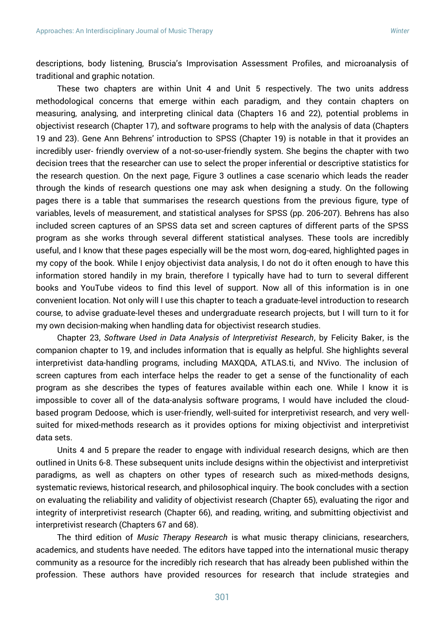descriptions, body listening, Bruscia's Improvisation Assessment Profiles, and microanalysis of traditional and graphic notation.

These two chapters are within Unit 4 and Unit 5 respectively. The two units address methodological concerns that emerge within each paradigm, and they contain chapters on measuring, analysing, and interpreting clinical data (Chapters 16 and 22), potential problems in objectivist research (Chapter 17), and software programs to help with the analysis of data (Chapters 19 and 23). Gene Ann Behrens' introduction to SPSS (Chapter 19) is notable in that it provides an incredibly user- friendly overview of a not-so-user-friendly system. She begins the chapter with two decision trees that the researcher can use to select the proper inferential or descriptive statistics for the research question. On the next page, Figure 3 outlines a case scenario which leads the reader through the kinds of research questions one may ask when designing a study. On the following pages there is a table that summarises the research questions from the previous figure, type of variables, levels of measurement, and statistical analyses for SPSS (pp. 206-207). Behrens has also included screen captures of an SPSS data set and screen captures of different parts of the SPSS program as she works through several different statistical analyses. These tools are incredibly useful, and I know that these pages especially will be the most worn, dog-eared, highlighted pages in my copy of the book. While I enjoy objectivist data analysis, I do not do it often enough to have this information stored handily in my brain, therefore I typically have had to turn to several different books and YouTube videos to find this level of support. Now all of this information is in one convenient location. Not only will I use this chapter to teach a graduate-level introduction to research course, to advise graduate-level theses and undergraduate research projects, but I will turn to it for my own decision-making when handling data for objectivist research studies.

Chapter 23, *Software Used in Data Analysis of Interpretivist Research*, by Felicity Baker, is the companion chapter to 19, and includes information that is equally as helpful. She highlights several interpretivist data-handling programs, including MAXQDA, ATLAS.ti, and NVivo. The inclusion of screen captures from each interface helps the reader to get a sense of the functionality of each program as she describes the types of features available within each one. While I know it is impossible to cover all of the data-analysis software programs, I would have included the cloudbased program Dedoose, which is user-friendly, well-suited for interpretivist research, and very wellsuited for mixed-methods research as it provides options for mixing objectivist and interpretivist data sets.

Units 4 and 5 prepare the reader to engage with individual research designs, which are then outlined in Units 6-8. These subsequent units include designs within the objectivist and interpretivist paradigms, as well as chapters on other types of research such as mixed-methods designs, systematic reviews, historical research, and philosophical inquiry. The book concludes with a section on evaluating the reliability and validity of objectivist research (Chapter 65), evaluating the rigor and integrity of interpretivist research (Chapter 66), and reading, writing, and submitting objectivist and interpretivist research (Chapters 67 and 68).

The third edition of *Music Therapy Research* is what music therapy clinicians, researchers, academics, and students have needed. The editors have tapped into the international music therapy community as a resource for the incredibly rich research that has already been published within the profession. These authors have provided resources for research that include strategies and